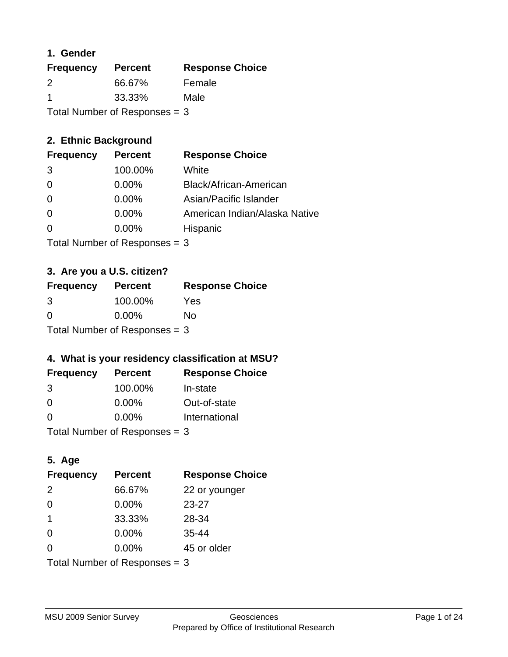#### **1. Gender**

| <b>Frequency</b>                | <b>Percent</b> | <b>Response Choice</b> |
|---------------------------------|----------------|------------------------|
| 2                               | 66.67%         | Female                 |
| -1                              | 33.33%         | Male                   |
| Total Number of Responses $=$ 3 |                |                        |

### **2. Ethnic Background**

| <b>Frequency</b> | <b>Percent</b> | <b>Response Choice</b>        |
|------------------|----------------|-------------------------------|
| -3               | 100.00%        | White                         |
| $\Omega$         | $0.00\%$       | Black/African-American        |
| $\Omega$         | $0.00\%$       | Asian/Pacific Islander        |
| $\Omega$         | 0.00%          | American Indian/Alaska Native |
|                  | 0.00%          | Hispanic                      |
|                  |                |                               |

Total Number of Responses = 3

### **3. Are you a U.S. citizen?**

| <b>Frequency</b> | <b>Percent</b>                  | <b>Response Choice</b> |
|------------------|---------------------------------|------------------------|
| 3                | 100.00%                         | Yes                    |
| $\Omega$         | $0.00\%$                        | Nο                     |
|                  | Total Number of Responses = $3$ |                        |

### **4. What is your residency classification at MSU?**

| <b>Frequency</b> | <b>Percent</b> | <b>Response Choice</b> |
|------------------|----------------|------------------------|
| 3                | 100.00%        | In-state               |
| $\Omega$         | $0.00\%$       | Out-of-state           |
| $\Omega$         | $0.00\%$       | International          |
|                  |                |                        |

Total Number of Responses  $= 3$ 

### **5. Age**

| <b>Frequency</b>                | <b>Percent</b> | <b>Response Choice</b> |
|---------------------------------|----------------|------------------------|
| 2                               | 66.67%         | 22 or younger          |
| $\Omega$                        | $0.00\%$       | $23 - 27$              |
| $\overline{\mathbf{1}}$         | 33.33%         | 28-34                  |
| $\Omega$                        | 0.00%          | 35-44                  |
| $\Omega$                        | 0.00%          | 45 or older            |
| Total Number of Responses $=$ 3 |                |                        |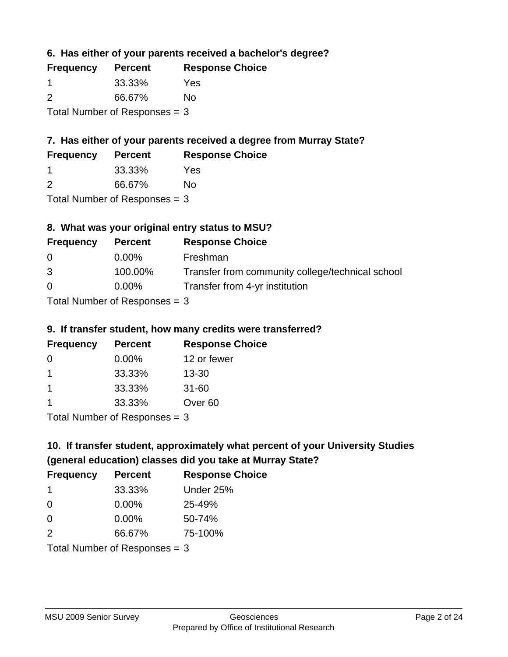**6. Has either of your parents received a bachelor's degree?**

| <b>Frequency</b>                | <b>Percent</b> | <b>Response Choice</b> |
|---------------------------------|----------------|------------------------|
| -1                              | 33.33%         | Yes                    |
| $\mathcal{P}$                   | 66.67%         | No                     |
| Total Number of Responses $=$ 3 |                |                        |

### **7. Has either of your parents received a degree from Murray State?**

| <b>Frequency</b> | <b>Percent</b> | <b>Response Choice</b> |
|------------------|----------------|------------------------|
|                  | 33.33%         | Yes                    |
|                  | . <i>.</i>     |                        |

2 66.67% No

Total Number of Responses = 3

### **8. What was your original entry status to MSU?**

| <b>Frequency</b> | <b>Percent</b>                  | <b>Response Choice</b>                           |
|------------------|---------------------------------|--------------------------------------------------|
| $\Omega$         | $0.00\%$                        | Freshman                                         |
| 3                | 100.00%                         | Transfer from community college/technical school |
| $\Omega$         | $0.00\%$                        | Transfer from 4-yr institution                   |
|                  | Total Number of Responses $=$ 3 |                                                  |

# **9. If transfer student, how many credits were transferred?**

| <b>Frequency</b> | <b>Percent</b>                  | <b>Response Choice</b> |
|------------------|---------------------------------|------------------------|
| 0                | $0.00\%$                        | 12 or fewer            |
| -1               | 33.33%                          | 13-30                  |
| -1               | 33.33%                          | $31 - 60$              |
|                  | 33.33%                          | Over <sub>60</sub>     |
|                  | Total Number of Responses $=$ 3 |                        |

# **10. If transfer student, approximately what percent of your University Studies (general education) classes did you take at Murray State?**

| <b>Frequency</b>                | <b>Percent</b> | <b>Response Choice</b> |
|---------------------------------|----------------|------------------------|
| -1                              | 33.33%         | Under 25%              |
| $\Omega$                        | $0.00\%$       | 25-49%                 |
| $\Omega$                        | 0.00%          | 50-74%                 |
| 2                               | 66.67%         | 75-100%                |
| Total Number of Responses = $3$ |                |                        |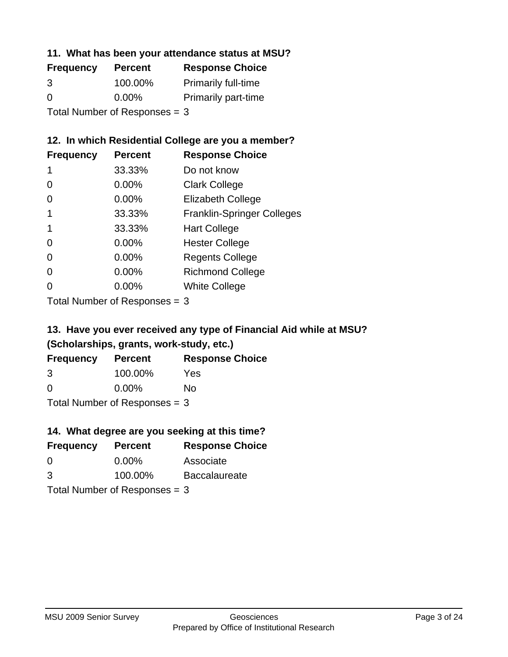#### **11. What has been your attendance status at MSU?**

| <b>Frequency</b>              | <b>Percent</b> | <b>Response Choice</b>     |
|-------------------------------|----------------|----------------------------|
| 3                             | 100.00%        | <b>Primarily full-time</b> |
| $\Omega$                      | $0.00\%$       | <b>Primarily part-time</b> |
| Total Number of Responses = 3 |                |                            |

### **12. In which Residential College are you a member?**

| <b>Frequency</b> | <b>Percent</b> | <b>Response Choice</b>            |
|------------------|----------------|-----------------------------------|
| 1                | 33.33%         | Do not know                       |
| 0                | 0.00%          | <b>Clark College</b>              |
| 0                | 0.00%          | <b>Elizabeth College</b>          |
|                  | 33.33%         | <b>Franklin-Springer Colleges</b> |
|                  | 33.33%         | <b>Hart College</b>               |
| 0                | 0.00%          | <b>Hester College</b>             |
| 0                | 0.00%          | <b>Regents College</b>            |
| 0                | 0.00%          | <b>Richmond College</b>           |
| 0                | 0.00%          | <b>White College</b>              |

Total Number of Responses = 3

### **13. Have you ever received any type of Financial Aid while at MSU? (Scholarships, grants, work-study, etc.)**

| <b>Frequency</b>                | <b>Percent</b> | <b>Response Choice</b> |
|---------------------------------|----------------|------------------------|
| 3                               | 100.00%        | Yes                    |
| $\Omega$                        | $0.00\%$       | Nο                     |
| Total Number of Responses $=$ 3 |                |                        |

**14. What degree are you seeking at this time?**

| <b>Frequency</b> | <b>Percent</b>                  | <b>Response Choice</b> |
|------------------|---------------------------------|------------------------|
| $\Omega$         | $0.00\%$                        | Associate              |
| 3                | 100.00%                         | <b>Baccalaureate</b>   |
|                  | Total Number of Responses $=$ 3 |                        |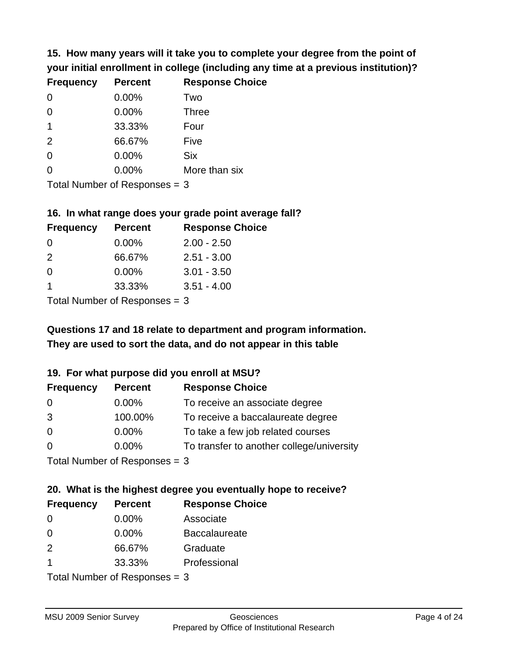**15. How many years will it take you to complete your degree from the point of your initial enrollment in college (including any time at a previous institution)?**

| <b>Frequency</b> | <b>Percent</b> | <b>Response Choice</b> |
|------------------|----------------|------------------------|
| $\Omega$         | 0.00%          | Two                    |
| $\Omega$         | 0.00%          | <b>Three</b>           |
| $\overline{1}$   | 33.33%         | Four                   |
| 2                | 66.67%         | Five                   |
| $\Omega$         | 0.00%          | <b>Six</b>             |
| $\overline{0}$   | 0.00%          | More than six          |
|                  |                |                        |

Total Number of Responses = 3

#### **16. In what range does your grade point average fall?**

| <b>Frequency</b> | <b>Percent</b> | <b>Response Choice</b> |
|------------------|----------------|------------------------|
| -0               | $0.00\%$       | $2.00 - 2.50$          |
| $\mathcal{P}$    | 66.67%         | $2.51 - 3.00$          |
| $\Omega$         | 0.00%          | $3.01 - 3.50$          |
|                  | 33.33%         | $3.51 - 4.00$          |
|                  |                |                        |

Total Number of Responses = 3

# **They are used to sort the data, and do not appear in this table Questions 17 and 18 relate to department and program information.**

#### **19. For what purpose did you enroll at MSU?**

| <b>Frequency</b> | <b>Percent</b>              | <b>Response Choice</b>                    |
|------------------|-----------------------------|-------------------------------------------|
| 0                | $0.00\%$                    | To receive an associate degree            |
| 3                | 100.00%                     | To receive a baccalaureate degree         |
| $\overline{0}$   | $0.00\%$                    | To take a few job related courses         |
| $\Omega$         | 0.00%                       | To transfer to another college/university |
|                  | Total Number of Despasses 2 |                                           |

I otal Number of Responses  $= 3$ 

# **20. What is the highest degree you eventually hope to receive?**

| <b>Frequency</b> | <b>Percent</b>                | <b>Response Choice</b> |
|------------------|-------------------------------|------------------------|
| 0                | $0.00\%$                      | Associate              |
| $\Omega$         | $0.00\%$                      | <b>Baccalaureate</b>   |
| 2                | 66.67%                        | Graduate               |
| -1               | 33.33%                        | Professional           |
|                  | Total Nives box of Doom owned |                        |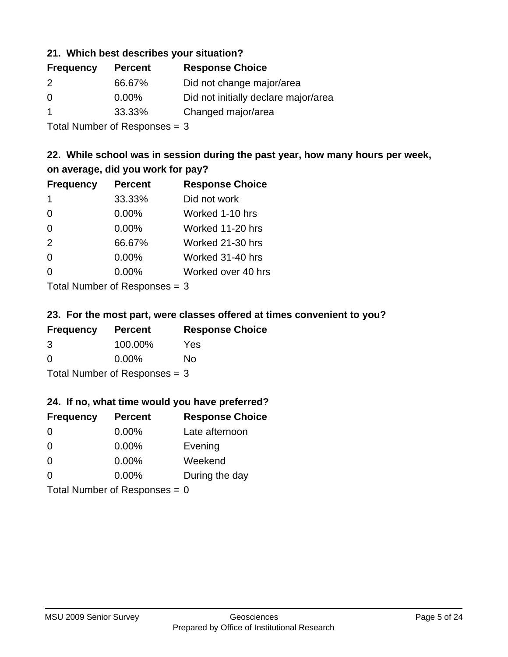#### **21. Which best describes your situation?**

| <b>Frequency</b> | <b>Percent</b> | <b>Response Choice</b>               |
|------------------|----------------|--------------------------------------|
| 2                | 66.67%         | Did not change major/area            |
| $\Omega$         | $0.00\%$       | Did not initially declare major/area |
|                  | 33.33%         | Changed major/area                   |
|                  |                |                                      |

Total Number of Responses = 3

### **22. While school was in session during the past year, how many hours per week, on average, did you work for pay?**

| <b>Frequency</b> | <b>Percent</b> | <b>Response Choice</b> |
|------------------|----------------|------------------------|
| -1               | 33.33%         | Did not work           |
| $\Omega$         | 0.00%          | Worked 1-10 hrs        |
| $\Omega$         | 0.00%          | Worked 11-20 hrs       |
| 2                | 66.67%         | Worked 21-30 hrs       |
| $\Omega$         | 0.00%          | Worked 31-40 hrs       |
| $\Omega$         | 0.00%          | Worked over 40 hrs     |
|                  |                |                        |

Total Number of Responses = 3

#### **23. For the most part, were classes offered at times convenient to you?**

| <b>Frequency</b>                | <b>Percent</b> | <b>Response Choice</b> |
|---------------------------------|----------------|------------------------|
| 3                               | 100.00%        | Yes                    |
| $\Omega$                        | $0.00\%$       | No                     |
| Total Number of Responses $=$ 3 |                |                        |

#### **24. If no, what time would you have preferred?**

| <b>Frequency</b> | <b>Percent</b>                  | <b>Response Choice</b> |
|------------------|---------------------------------|------------------------|
| $\Omega$         | $0.00\%$                        | Late afternoon         |
| $\Omega$         | 0.00%                           | Evening                |
| $\Omega$         | $0.00\%$                        | Weekend                |
| $\Omega$         | $0.00\%$                        | During the day         |
|                  | Total Number of Responses = $0$ |                        |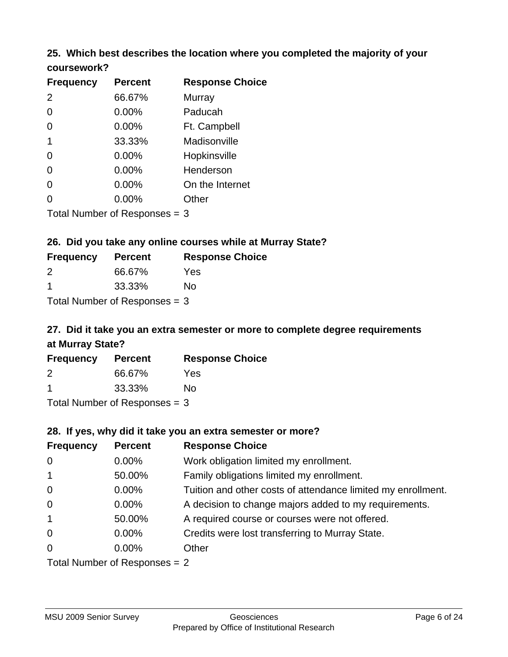### **25. Which best describes the location where you completed the majority of your coursework?**

| <b>Frequency</b> | <b>Percent</b>            | <b>Response Choice</b> |
|------------------|---------------------------|------------------------|
| 2                | 66.67%                    | Murray                 |
| 0                | 0.00%                     | Paducah                |
| 0                | 0.00%                     | Ft. Campbell           |
| $\mathbf 1$      | 33.33%                    | Madisonville           |
| 0                | 0.00%                     | Hopkinsville           |
| 0                | 0.00%                     | Henderson              |
| 0                | 0.00%                     | On the Internet        |
| 0                | 0.00%                     | Other                  |
|                  | Total Number of Deepensee |                        |

Total Number of Responses = 3

### **26. Did you take any online courses while at Murray State?**

| <b>Frequency</b>                | <b>Percent</b> | <b>Response Choice</b> |
|---------------------------------|----------------|------------------------|
| $\mathcal{P}$                   | 66.67%         | Yes                    |
| -1                              | 33.33%         | Nο                     |
| Total Number of Responses $=$ 3 |                |                        |

# **27. Did it take you an extra semester or more to complete degree requirements at Murray State?**

| <b>Frequency</b> | <b>Percent</b> | <b>Response Choice</b> |
|------------------|----------------|------------------------|
| 2                | 66.67%         | Yes                    |
| -1               | 33.33%         | No                     |
|                  |                |                        |

Total Number of Responses = 3

#### **28. If yes, why did it take you an extra semester or more?**

| <b>Frequency</b>                | <b>Percent</b> | <b>Response Choice</b>                                       |
|---------------------------------|----------------|--------------------------------------------------------------|
| $\overline{0}$                  | $0.00\%$       | Work obligation limited my enrollment.                       |
| $\overline{1}$                  | 50.00%         | Family obligations limited my enrollment.                    |
| $\mathbf 0$                     | $0.00\%$       | Tuition and other costs of attendance limited my enrollment. |
| $\mathbf 0$                     | $0.00\%$       | A decision to change majors added to my requirements.        |
| $\overline{1}$                  | 50.00%         | A required course or courses were not offered.               |
| $\overline{0}$                  | $0.00\%$       | Credits were lost transferring to Murray State.              |
| $\mathbf 0$                     | $0.00\%$       | Other                                                        |
| Total Number of Responses $= 2$ |                |                                                              |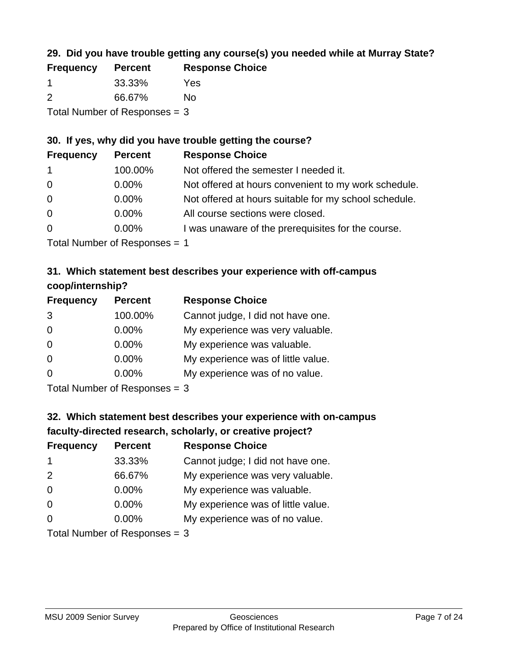### **29. Did you have trouble getting any course(s) you needed while at Murray State?**

| <b>Frequency</b>                | <b>Percent</b> | <b>Response Choice</b> |
|---------------------------------|----------------|------------------------|
|                                 | 33.33%         | Yes                    |
| $\mathcal{P}$                   | 66.67%         | No.                    |
| Total Number of Responses $=$ 3 |                |                        |

### **30. If yes, why did you have trouble getting the course?**

| <b>Frequency</b> | <b>Percent</b> | <b>Response Choice</b>                                |
|------------------|----------------|-------------------------------------------------------|
| $\mathbf{1}$     | 100.00%        | Not offered the semester I needed it.                 |
| $\overline{0}$   | $0.00\%$       | Not offered at hours convenient to my work schedule.  |
| $\overline{0}$   | $0.00\%$       | Not offered at hours suitable for my school schedule. |
| $\overline{0}$   | $0.00\%$       | All course sections were closed.                      |
| $\overline{0}$   | 0.00%          | I was unaware of the prerequisites for the course.    |
|                  |                |                                                       |

Total Number of Responses = 1

### **31. Which statement best describes your experience with off-campus coop/internship?**

| <b>Frequency</b> | <b>Percent</b> | <b>Response Choice</b>             |
|------------------|----------------|------------------------------------|
| 3                | 100.00%        | Cannot judge, I did not have one.  |
| $\Omega$         | 0.00%          | My experience was very valuable.   |
| $\Omega$         | 0.00%          | My experience was valuable.        |
| $\Omega$         | 0.00%          | My experience was of little value. |
| $\Omega$         | 0.00%          | My experience was of no value.     |
|                  |                |                                    |

Total Number of Responses = 3

# **32. Which statement best describes your experience with on-campus faculty-directed research, scholarly, or creative project?**

| <b>Frequency</b> | <b>Percent</b>              | <b>Response Choice</b>             |
|------------------|-----------------------------|------------------------------------|
| $\mathbf 1$      | 33.33%                      | Cannot judge; I did not have one.  |
| 2                | 66.67%                      | My experience was very valuable.   |
| $\overline{0}$   | $0.00\%$                    | My experience was valuable.        |
| $\Omega$         | $0.00\%$                    | My experience was of little value. |
| $\Omega$         | $0.00\%$                    | My experience was of no value.     |
|                  | Total Number of Despesses 2 |                                    |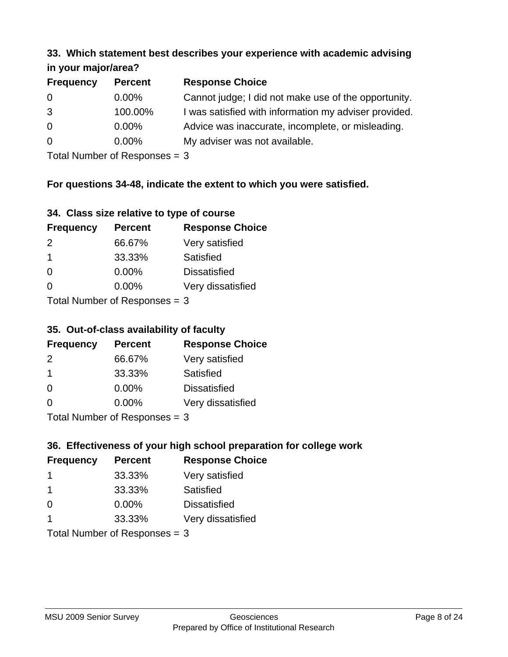#### **33. Which statement best describes your experience with academic advising in your major/area?**

| $\cdots$ your mapproved. |                |                                                       |
|--------------------------|----------------|-------------------------------------------------------|
| <b>Frequency</b>         | <b>Percent</b> | <b>Response Choice</b>                                |
| 0                        | $0.00\%$       | Cannot judge; I did not make use of the opportunity.  |
| 3                        | 100.00%        | I was satisfied with information my adviser provided. |
| $\overline{0}$           | 0.00%          | Advice was inaccurate, incomplete, or misleading.     |
| $\overline{0}$           | $0.00\%$       | My adviser was not available.                         |
|                          |                |                                                       |

Total Number of Responses = 3

### **For questions 34-48, indicate the extent to which you were satisfied.**

| 34. Class size relative to type of course |
|-------------------------------------------|
|-------------------------------------------|

| <b>Frequency</b>               | <b>Percent</b> | <b>Response Choice</b> |
|--------------------------------|----------------|------------------------|
| 2                              | 66.67%         | Very satisfied         |
| -1                             | 33.33%         | Satisfied              |
| $\Omega$                       | $0.00\%$       | <b>Dissatisfied</b>    |
| $\Omega$                       | $0.00\%$       | Very dissatisfied      |
| Total Number of Reconnege $-2$ |                |                        |

Total Number of Responses  $=$  3

### **35. Out-of-class availability of faculty**

| <b>Frequency</b>          | <b>Percent</b> | <b>Response Choice</b> |
|---------------------------|----------------|------------------------|
| $\mathcal{P}$             | 66.67%         | Very satisfied         |
| -1                        | 33.33%         | Satisfied              |
| $\Omega$                  | $0.00\%$       | <b>Dissatisfied</b>    |
| $\Omega$                  | 0.00%          | Very dissatisfied      |
| Total Number of Deepensee |                |                        |

Total Number of Responses = 3

### **36. Effectiveness of your high school preparation for college work**

| <b>Frequency</b> | <b>Percent</b>                 | <b>Response Choice</b> |
|------------------|--------------------------------|------------------------|
|                  | 33.33%                         | Very satisfied         |
| -1               | 33.33%                         | Satisfied              |
| $\Omega$         | 0.00%                          | <b>Dissatisfied</b>    |
|                  | 33.33%                         | Very dissatisfied      |
|                  | Total Number of Decreases $-2$ |                        |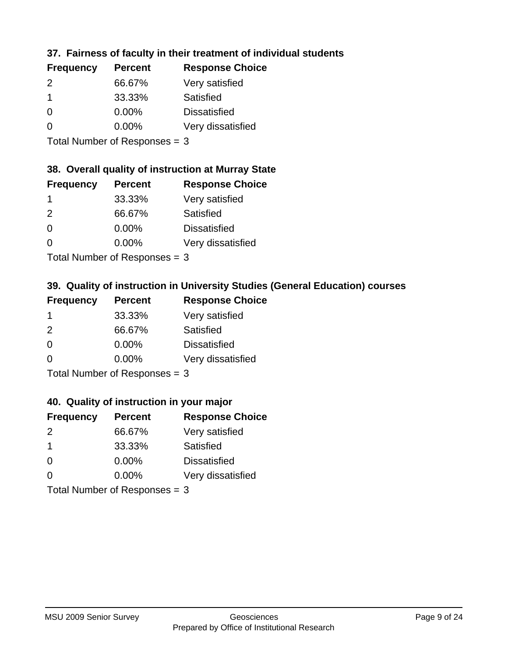### **37. Fairness of faculty in their treatment of individual students**

| <b>Frequency</b> | <b>Percent</b> | <b>Response Choice</b> |
|------------------|----------------|------------------------|
| $\mathcal{P}$    | 66.67%         | Very satisfied         |
|                  | 33.33%         | Satisfied              |
| $\Omega$         | $0.00\%$       | <b>Dissatisfied</b>    |
| $\Omega$         | 0.00%          | Very dissatisfied      |
|                  |                |                        |

Total Number of Responses = 3

#### **38. Overall quality of instruction at Murray State**

| <b>Frequency</b> | <b>Percent</b> | <b>Response Choice</b> |
|------------------|----------------|------------------------|
|                  | 33.33%         | Very satisfied         |
| $\mathcal{P}$    | 66.67%         | Satisfied              |
| $\Omega$         | 0.00%          | <b>Dissatisfied</b>    |
| ∩                | 0.00%          | Very dissatisfied      |
|                  |                |                        |

Total Number of Responses = 3

### **39. Quality of instruction in University Studies (General Education) courses**

| <b>Frequency</b> | <b>Percent</b>              | <b>Response Choice</b> |
|------------------|-----------------------------|------------------------|
|                  | 33.33%                      | Very satisfied         |
| 2                | 66.67%                      | Satisfied              |
| $\Omega$         | 0.00%                       | <b>Dissatisfied</b>    |
| $\Omega$         | 0.00%                       | Very dissatisfied      |
|                  | Tatal Manuala and Dannanana |                        |

Total Number of Responses = 3

#### **40. Quality of instruction in your major**

| <b>Frequency</b>          | <b>Percent</b> | <b>Response Choice</b> |
|---------------------------|----------------|------------------------|
| $\mathcal{P}$             | 66.67%         | Very satisfied         |
| -1                        | 33.33%         | Satisfied              |
| $\Omega$                  | $0.00\%$       | <b>Dissatisfied</b>    |
| $\Omega$                  | 0.00%          | Very dissatisfied      |
| Total Number of Deepersee |                |                        |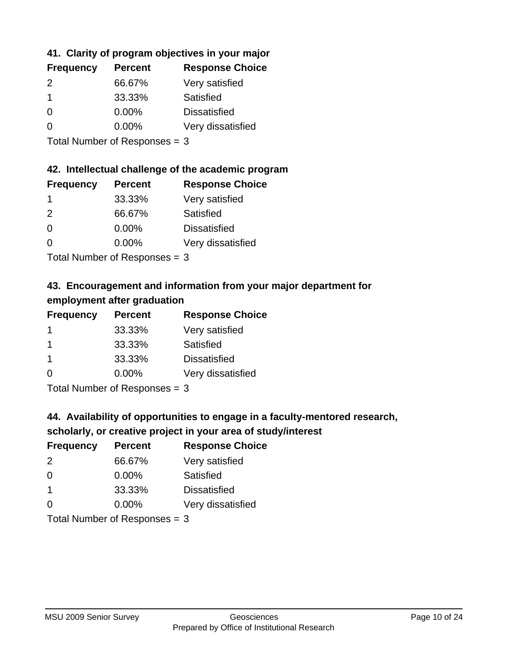### **41. Clarity of program objectives in your major**

| <b>Frequency</b> | <b>Percent</b> | <b>Response Choice</b> |
|------------------|----------------|------------------------|
| $\mathcal{P}$    | 66.67%         | Very satisfied         |
|                  | 33.33%         | Satisfied              |
| $\Omega$         | $0.00\%$       | <b>Dissatisfied</b>    |
| n                | $0.00\%$       | Very dissatisfied      |
|                  |                |                        |

Total Number of Responses = 3

#### **42. Intellectual challenge of the academic program**

| <b>Frequency</b> | <b>Percent</b> | <b>Response Choice</b> |
|------------------|----------------|------------------------|
|                  | 33.33%         | Very satisfied         |
| $\mathcal{P}$    | 66.67%         | Satisfied              |
| $\Omega$         | 0.00%          | <b>Dissatisfied</b>    |
| $\Omega$         | 0.00%          | Very dissatisfied      |
|                  |                |                        |

Total Number of Responses = 3

### **43. Encouragement and information from your major department for employment after graduation**

| <b>Frequency</b> | <b>Percent</b> | <b>Response Choice</b> |
|------------------|----------------|------------------------|
| -1               | 33.33%         | Very satisfied         |
| $\mathbf 1$      | 33.33%         | Satisfied              |
| $\mathbf 1$      | 33.33%         | <b>Dissatisfied</b>    |
| $\Omega$         | $0.00\%$       | Very dissatisfied      |
|                  |                |                        |

Total Number of Responses = 3

### **44. Availability of opportunities to engage in a faculty-mentored research,**

### **scholarly, or creative project in your area of study/interest**

| <b>Frequency</b> | <b>Percent</b> | <b>Response Choice</b> |
|------------------|----------------|------------------------|
| 2                | 66.67%         | Very satisfied         |
| $\Omega$         | $0.00\%$       | Satisfied              |
|                  | 33.33%         | <b>Dissatisfied</b>    |
| $\Omega$         | 0.00%          | Very dissatisfied      |
|                  |                |                        |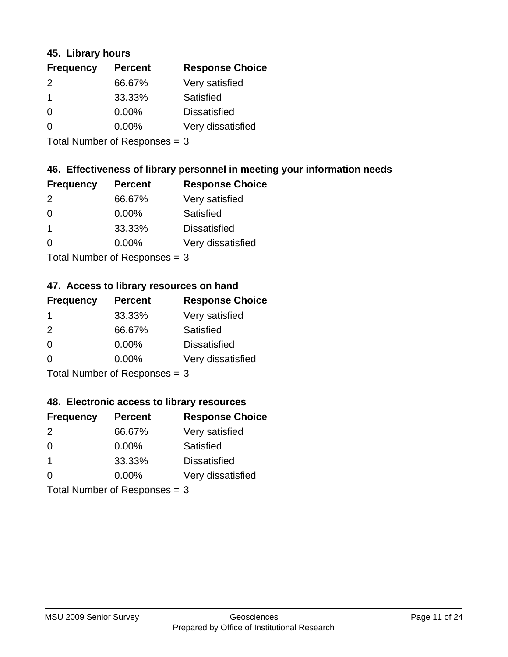#### **45. Library hours**

| <b>Frequency</b> | <b>Percent</b> | <b>Response Choice</b> |
|------------------|----------------|------------------------|
| 2                | 66.67%         | Very satisfied         |
| $\mathbf 1$      | 33.33%         | Satisfied              |
| 0                | 0.00%          | <b>Dissatisfied</b>    |
| $\Omega$         | $0.00\%$       | Very dissatisfied      |
|                  |                |                        |

Total Number of Responses = 3

#### **46. Effectiveness of library personnel in meeting your information needs**

| <b>Frequency</b> | <b>Percent</b> | <b>Response Choice</b> |
|------------------|----------------|------------------------|
| $\mathcal{P}$    | 66.67%         | Very satisfied         |
| $\Omega$         | $0.00\%$       | Satisfied              |
|                  | 33.33%         | <b>Dissatisfied</b>    |
| O                | $0.00\%$       | Very dissatisfied      |
|                  |                |                        |

Total Number of Responses = 3

### **47. Access to library resources on hand**

| <b>Frequency</b> | <b>Percent</b>            | <b>Response Choice</b> |
|------------------|---------------------------|------------------------|
| -1               | 33.33%                    | Very satisfied         |
| $\mathcal{P}$    | 66.67%                    | Satisfied              |
| $\Omega$         | $0.00\%$                  | <b>Dissatisfied</b>    |
| ∩                | $0.00\%$                  | Very dissatisfied      |
|                  | Total Number of Deepersee |                        |

Total Number of Responses = 3

#### **48. Electronic access to library resources**

| <b>Frequency</b>              | <b>Percent</b> | <b>Response Choice</b> |
|-------------------------------|----------------|------------------------|
| $\mathcal{P}$                 | 66.67%         | Very satisfied         |
| $\Omega$                      | $0.00\%$       | <b>Satisfied</b>       |
| $\mathbf 1$                   | 33.33%         | <b>Dissatisfied</b>    |
| $\Omega$                      | $0.00\%$       | Very dissatisfied      |
| Total Number of Responses = 3 |                |                        |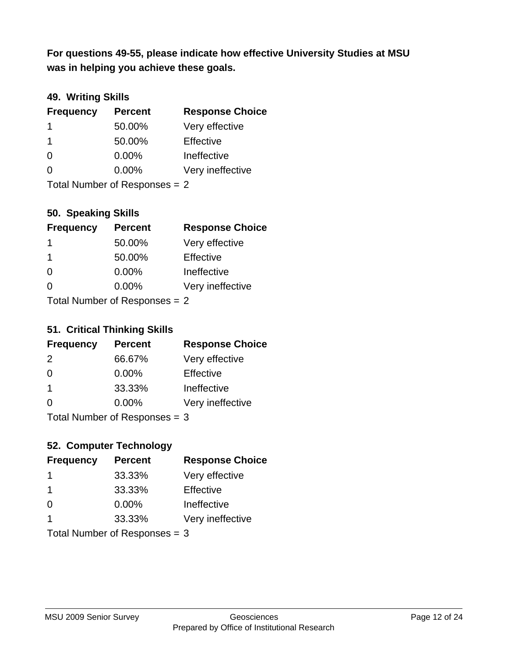**was in helping you achieve these goals. For questions 49-55, please indicate how effective University Studies at MSU** 

#### **49. Writing Skills**

| <b>Frequency</b>              | <b>Percent</b> | <b>Response Choice</b> |
|-------------------------------|----------------|------------------------|
| 1                             | 50.00%         | Very effective         |
| -1                            | 50.00%         | Effective              |
| $\Omega$                      | 0.00%          | Ineffective            |
| $\Omega$                      | $0.00\%$       | Very ineffective       |
| Total Number of Responses = 2 |                |                        |

**50. Speaking Skills**

| <b>Frequency</b>               | <b>Percent</b> | <b>Response Choice</b> |
|--------------------------------|----------------|------------------------|
| $\mathbf 1$                    | 50.00%         | Very effective         |
| -1                             | 50.00%         | Effective              |
| $\Omega$                       | 0.00%          | Ineffective            |
| $\Omega$                       | 0.00%          | Very ineffective       |
| Total Number of Poenonces $-2$ |                |                        |

Total Number of Responses = 2

#### **51. Critical Thinking Skills**

| <b>Frequency</b>          | <b>Percent</b> | <b>Response Choice</b> |
|---------------------------|----------------|------------------------|
| 2                         | 66.67%         | Very effective         |
| $\Omega$                  | 0.00%          | Effective              |
| $\overline{\mathbf{1}}$   | 33.33%         | Ineffective            |
| $\Omega$                  | 0.00%          | Very ineffective       |
| Total Number of Desponses |                |                        |

Total Number of Responses = 3

### **52. Computer Technology**

| <b>Frequency</b>              | <b>Percent</b> | <b>Response Choice</b> |
|-------------------------------|----------------|------------------------|
| -1                            | 33.33%         | Very effective         |
| -1                            | 33.33%         | Effective              |
| $\Omega$                      | $0.00\%$       | Ineffective            |
| $\overline{\mathbf{1}}$       | 33.33%         | Very ineffective       |
| Total Number of Responses = 3 |                |                        |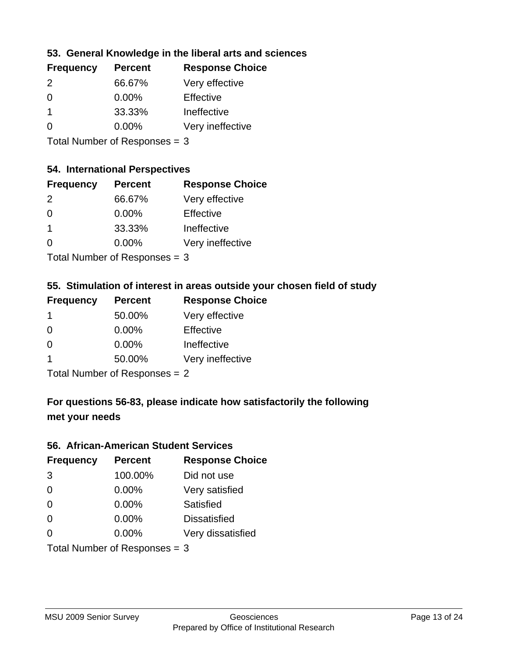### **53. General Knowledge in the liberal arts and sciences**

| <b>Frequency</b> | <b>Percent</b> | <b>Response Choice</b> |
|------------------|----------------|------------------------|
| $\mathcal{P}$    | 66.67%         | Very effective         |
| $\Omega$         | $0.00\%$       | Effective              |
|                  | 33.33%         | Ineffective            |
| $\Omega$         | 0.00%          | Very ineffective       |
|                  |                |                        |

Total Number of Responses = 3

#### **54. International Perspectives**

| <b>Frequency</b> | <b>Percent</b> | <b>Response Choice</b> |
|------------------|----------------|------------------------|
| $\mathcal{P}$    | 66.67%         | Very effective         |
| $\Omega$         | 0.00%          | Effective              |
| 1                | 33.33%         | Ineffective            |
| ∩                | 0.00%          | Very ineffective       |
|                  |                |                        |

Total Number of Responses = 3

### **55. Stimulation of interest in areas outside your chosen field of study**

| <b>Frequency</b> | <b>Percent</b>             | <b>Response Choice</b> |
|------------------|----------------------------|------------------------|
| 1                | 50.00%                     | Very effective         |
| $\Omega$         | 0.00%                      | Effective              |
| $\Omega$         | 0.00%                      | Ineffective            |
| 1                | 50.00%                     | Very ineffective       |
|                  | Total Number of Desperance |                        |

Total Number of Responses = 2

### **For questions 56-83, please indicate how satisfactorily the following met your needs**

#### **56. African-American Student Services**

| <b>Frequency</b> | <b>Percent</b>                  | <b>Response Choice</b> |
|------------------|---------------------------------|------------------------|
| 3                | 100.00%                         | Did not use            |
| $\Omega$         | 0.00%                           | Very satisfied         |
| $\Omega$         | 0.00%                           | Satisfied              |
| $\Omega$         | $0.00\%$                        | <b>Dissatisfied</b>    |
| $\Omega$         | 0.00%                           | Very dissatisfied      |
|                  | Total Number of Responses = $3$ |                        |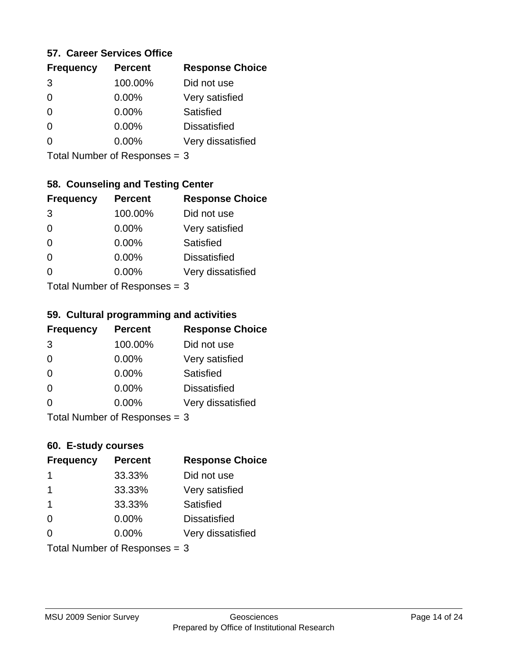#### **57. Career Services Office**

| <b>Frequency</b> | <b>Percent</b> | <b>Response Choice</b> |
|------------------|----------------|------------------------|
| 3                | 100.00%        | Did not use            |
| 0                | 0.00%          | Very satisfied         |
| 0                | $0.00\%$       | Satisfied              |
| 0                | $0.00\%$       | <b>Dissatisfied</b>    |
|                  | $0.00\%$       | Very dissatisfied      |
|                  |                |                        |

Total Number of Responses = 3

### **58. Counseling and Testing Center**

| <b>Frequency</b>          | <b>Percent</b> | <b>Response Choice</b> |
|---------------------------|----------------|------------------------|
| 3                         | 100.00%        | Did not use            |
| 0                         | 0.00%          | Very satisfied         |
| $\Omega$                  | 0.00%          | <b>Satisfied</b>       |
| $\Omega$                  | 0.00%          | <b>Dissatisfied</b>    |
| 0                         | 0.00%          | Very dissatisfied      |
| Total Number of DoEROR 0. |                |                        |

Total Number of Responses = 3

#### **59. Cultural programming and activities**

| <b>Frequency</b>                | <b>Percent</b> | <b>Response Choice</b> |
|---------------------------------|----------------|------------------------|
| 3                               | 100.00%        | Did not use            |
| $\Omega$                        | 0.00%          | Very satisfied         |
| $\Omega$                        | 0.00%          | Satisfied              |
| $\Omega$                        | $0.00\%$       | <b>Dissatisfied</b>    |
| $\Omega$                        | $0.00\%$       | Very dissatisfied      |
| Total Number of Responses = $3$ |                |                        |

### **60. E-study courses**

| <b>Frequency</b> | <b>Percent</b>                  | <b>Response Choice</b> |
|------------------|---------------------------------|------------------------|
| -1               | 33.33%                          | Did not use            |
| -1               | 33.33%                          | Very satisfied         |
| $\mathbf 1$      | 33.33%                          | Satisfied              |
| 0                | 0.00%                           | <b>Dissatisfied</b>    |
| $\Omega$         | $0.00\%$                        | Very dissatisfied      |
|                  | Total Number of Responses = $3$ |                        |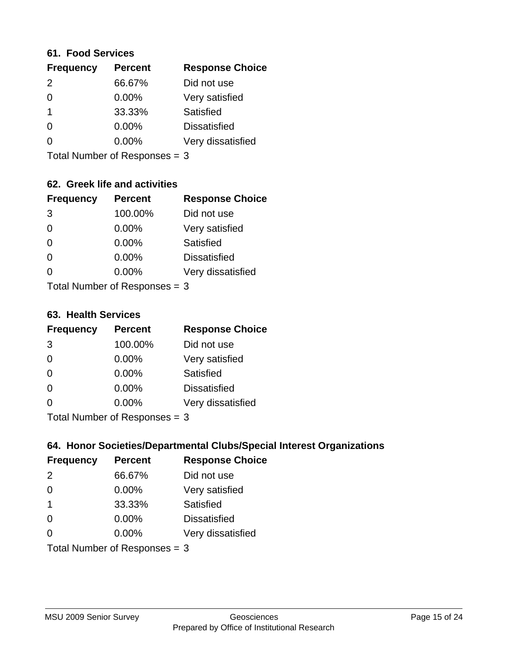#### **61. Food Services**

| <b>Frequency</b> | <b>Percent</b> | <b>Response Choice</b> |
|------------------|----------------|------------------------|
| 2                | 66.67%         | Did not use            |
| $\Omega$         | 0.00%          | Very satisfied         |
| -1               | 33.33%         | Satisfied              |
| 0                | $0.00\%$       | <b>Dissatisfied</b>    |
| O                | 0.00%          | Very dissatisfied      |
|                  |                |                        |

Total Number of Responses = 3

### **62. Greek life and activities**

| <b>Frequency</b> | <b>Percent</b>                  | <b>Response Choice</b> |
|------------------|---------------------------------|------------------------|
| 3                | 100.00%                         | Did not use            |
| 0                | 0.00%                           | Very satisfied         |
| $\Omega$         | 0.00%                           | Satisfied              |
| $\Omega$         | 0.00%                           | <b>Dissatisfied</b>    |
| O                | $0.00\%$                        | Very dissatisfied      |
|                  | Total Number of Responses $=$ 3 |                        |

**63. Health Services**

| <b>Frequency</b>          | <b>Percent</b> | <b>Response Choice</b> |
|---------------------------|----------------|------------------------|
| 3                         | 100.00%        | Did not use            |
| $\Omega$                  | 0.00%          | Very satisfied         |
| $\Omega$                  | $0.00\%$       | Satisfied              |
| $\Omega$                  | $0.00\%$       | <b>Dissatisfied</b>    |
| $\Omega$                  | $0.00\%$       | Very dissatisfied      |
| Total Number of Desponses |                |                        |

Total Number of Responses = 3

#### **64. Honor Societies/Departmental Clubs/Special Interest Organizations**

| <b>Frequency</b>              | <b>Percent</b> | <b>Response Choice</b> |
|-------------------------------|----------------|------------------------|
| 2                             | 66.67%         | Did not use            |
| $\Omega$                      | $0.00\%$       | Very satisfied         |
| $\overline{\mathbf{1}}$       | 33.33%         | Satisfied              |
| $\Omega$                      | 0.00%          | <b>Dissatisfied</b>    |
| $\Omega$                      | 0.00%          | Very dissatisfied      |
| Total Number of Responses = 3 |                |                        |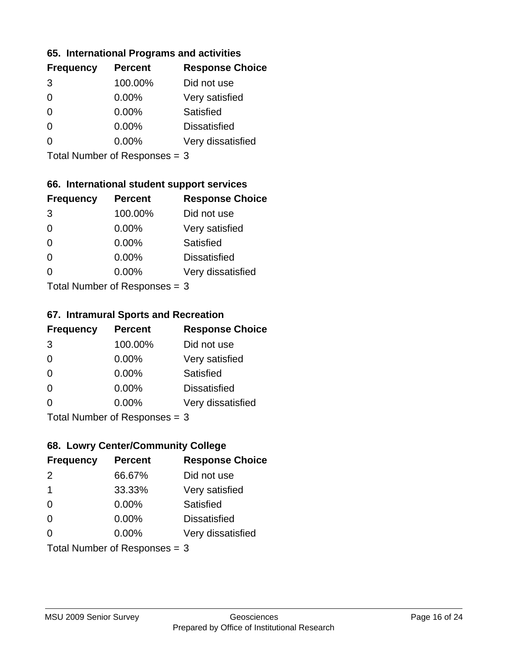#### **65. International Programs and activities**

| <b>Frequency</b> | <b>Percent</b> | <b>Response Choice</b> |
|------------------|----------------|------------------------|
| 3                | 100.00%        | Did not use            |
| 0                | $0.00\%$       | Very satisfied         |
| 0                | $0.00\%$       | Satisfied              |
|                  | $0.00\%$       | <b>Dissatisfied</b>    |
|                  | $0.00\%$       | Very dissatisfied      |
|                  |                |                        |

Total Number of Responses = 3

### **66. International student support services**

| <b>Frequency</b>          | <b>Percent</b> | <b>Response Choice</b> |
|---------------------------|----------------|------------------------|
| 3                         | 100.00%        | Did not use            |
| $\Omega$                  | $0.00\%$       | Very satisfied         |
| $\Omega$                  | $0.00\%$       | Satisfied              |
| $\Omega$                  | 0.00%          | <b>Dissatisfied</b>    |
| 0                         | 0.00%          | Very dissatisfied      |
| Total Number of Desponses |                |                        |

Total Number of Responses = 3

#### **67. Intramural Sports and Recreation**

| <b>Frequency</b>               | <b>Percent</b> | <b>Response Choice</b> |
|--------------------------------|----------------|------------------------|
| 3                              | 100.00%        | Did not use            |
| $\Omega$                       | 0.00%          | Very satisfied         |
| $\Omega$                       | 0.00%          | Satisfied              |
| $\Omega$                       | $0.00\%$       | <b>Dissatisfied</b>    |
| $\Omega$                       | 0.00%          | Very dissatisfied      |
| Total Number of Poenonces $-2$ |                |                        |

Total Number of Responses = 3

### **68. Lowry Center/Community College**

| <b>Frequency</b>              | <b>Percent</b> | <b>Response Choice</b> |
|-------------------------------|----------------|------------------------|
| 2                             | 66.67%         | Did not use            |
| $\mathbf 1$                   | 33.33%         | Very satisfied         |
| $\Omega$                      | 0.00%          | Satisfied              |
| $\Omega$                      | $0.00\%$       | <b>Dissatisfied</b>    |
| $\Omega$                      | $0.00\%$       | Very dissatisfied      |
| Total Number of Responses = 3 |                |                        |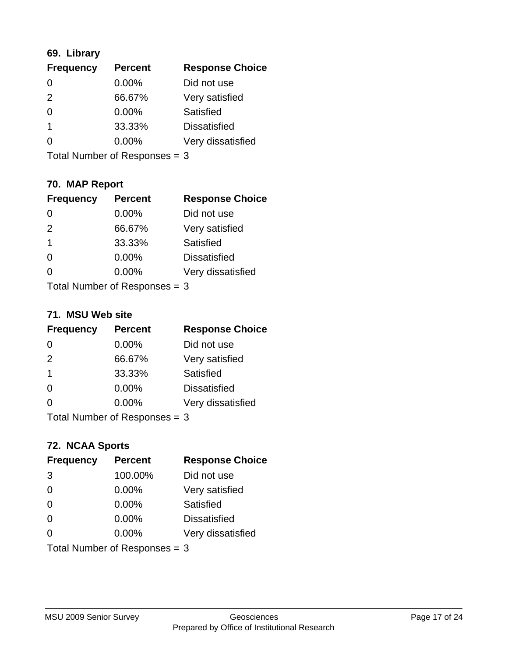### **69. Library**

| <b>Frequency</b> | <b>Percent</b> | <b>Response Choice</b> |
|------------------|----------------|------------------------|
| 0                | 0.00%          | Did not use            |
| $\mathcal{P}$    | 66.67%         | Very satisfied         |
| 0                | $0.00\%$       | <b>Satisfied</b>       |
|                  | 33.33%         | <b>Dissatisfied</b>    |
| O                | $0.00\%$       | Very dissatisfied      |
|                  |                |                        |

Total Number of Responses = 3

### **70. MAP Report**

| <b>Frequency</b>                | <b>Percent</b> | <b>Response Choice</b> |
|---------------------------------|----------------|------------------------|
|                                 | 0.00%          | Did not use            |
| 2                               | 66.67%         | Very satisfied         |
| 1                               | 33.33%         | Satisfied              |
| 0                               | $0.00\%$       | <b>Dissatisfied</b>    |
|                                 | 0.00%          | Very dissatisfied      |
| Total Number of Responses $=$ 3 |                |                        |

#### **71. MSU Web site**

| <b>Frequency</b> | <b>Percent</b>                | <b>Response Choice</b> |
|------------------|-------------------------------|------------------------|
| $\Omega$         | $0.00\%$                      | Did not use            |
| 2                | 66.67%                        | Very satisfied         |
| -1               | 33.33%                        | Satisfied              |
| $\Omega$         | 0.00%                         | <b>Dissatisfied</b>    |
| ∩                | 0.00%                         | Very dissatisfied      |
|                  | Total Number of Responses = 3 |                        |

#### **72. NCAA Sports**

| <b>Frequency</b>                | <b>Percent</b> | <b>Response Choice</b> |
|---------------------------------|----------------|------------------------|
| 3                               | 100.00%        | Did not use            |
| $\Omega$                        | 0.00%          | Very satisfied         |
| $\Omega$                        | 0.00%          | Satisfied              |
| $\Omega$                        | $0.00\%$       | <b>Dissatisfied</b>    |
| $\Omega$                        | 0.00%          | Very dissatisfied      |
| Total Number of Responses $=$ 3 |                |                        |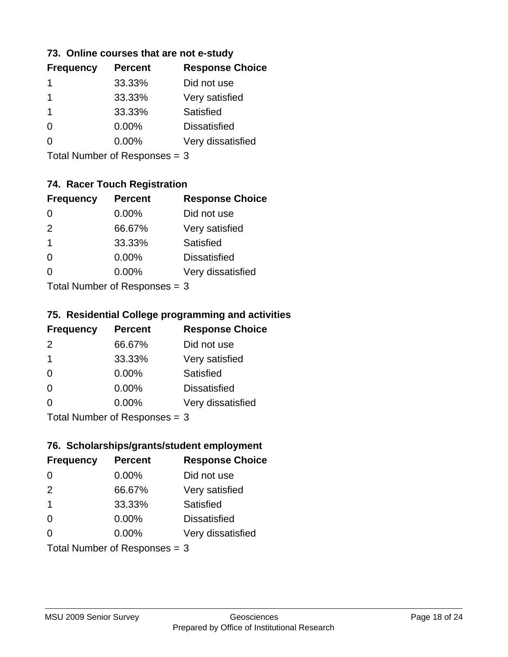#### **73. Online courses that are not e-study**

| <b>Frequency</b> | <b>Percent</b> | <b>Response Choice</b> |
|------------------|----------------|------------------------|
|                  | 33.33%         | Did not use            |
|                  | 33.33%         | Very satisfied         |
|                  | 33.33%         | Satisfied              |
| $\Omega$         | $0.00\%$       | <b>Dissatisfied</b>    |
|                  | $0.00\%$       | Very dissatisfied      |
|                  |                |                        |

Total Number of Responses = 3

### **74. Racer Touch Registration**

| <b>Frequency</b>           | <b>Percent</b> | <b>Response Choice</b> |  |
|----------------------------|----------------|------------------------|--|
| 0                          | 0.00%          | Did not use            |  |
| 2                          | 66.67%         | Very satisfied         |  |
| 1                          | 33.33%         | <b>Satisfied</b>       |  |
| ∩                          | $0.00\%$       | <b>Dissatisfied</b>    |  |
| 0                          | 0.00%          | Very dissatisfied      |  |
| Total Number of Deepersoon |                |                        |  |

Total Number of Responses = 3

### **75. Residential College programming and activities**

| <b>Frequency</b>              | <b>Percent</b> | <b>Response Choice</b> |
|-------------------------------|----------------|------------------------|
| $\mathcal{P}$                 | 66.67%         | Did not use            |
| $\mathbf 1$                   | 33.33%         | Very satisfied         |
| $\Omega$                      | $0.00\%$       | <b>Satisfied</b>       |
| $\Omega$                      | 0.00%          | <b>Dissatisfied</b>    |
| 0                             | $0.00\%$       | Very dissatisfied      |
| $Total Number of Denonce = 2$ |                |                        |

Total Number of Responses = 3

### **76. Scholarships/grants/student employment**

| <b>Frequency</b>                | <b>Percent</b> | <b>Response Choice</b> |
|---------------------------------|----------------|------------------------|
| 0                               | 0.00%          | Did not use            |
| 2                               | 66.67%         | Very satisfied         |
| $\overline{1}$                  | 33.33%         | Satisfied              |
| $\Omega$                        | 0.00%          | <b>Dissatisfied</b>    |
| 0                               | 0.00%          | Very dissatisfied      |
| Total Number of Responses = $3$ |                |                        |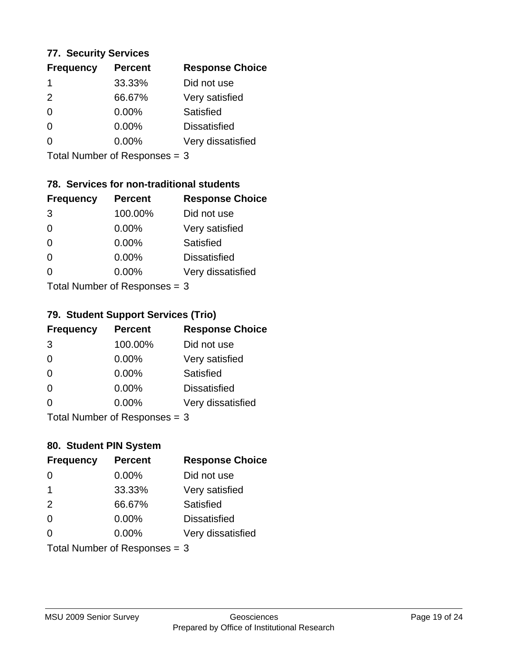#### **77. Security Services**

| <b>Frequency</b> | <b>Percent</b> | <b>Response Choice</b> |
|------------------|----------------|------------------------|
|                  | 33.33%         | Did not use            |
| $\mathcal{P}$    | 66.67%         | Very satisfied         |
| $\Omega$         | $0.00\%$       | Satisfied              |
| ∩                | $0.00\%$       | <b>Dissatisfied</b>    |
|                  | $0.00\%$       | Very dissatisfied      |
|                  |                |                        |

Total Number of Responses = 3

### **78. Services for non-traditional students**

| <b>Frequency</b> | <b>Percent</b>            | <b>Response Choice</b> |
|------------------|---------------------------|------------------------|
| 3                | 100.00%                   | Did not use            |
| $\Omega$         | 0.00%                     | Very satisfied         |
| $\Omega$         | $0.00\%$                  | <b>Satisfied</b>       |
| $\Omega$         | 0.00%                     | <b>Dissatisfied</b>    |
| 0                | $0.00\%$                  | Very dissatisfied      |
|                  | Total Number of DoEROR 0. |                        |

Total Number of Responses = 3

### **79. Student Support Services (Trio)**

| <b>Frequency</b>          | <b>Percent</b> | <b>Response Choice</b> |
|---------------------------|----------------|------------------------|
| 3                         | 100.00%        | Did not use            |
| $\Omega$                  | 0.00%          | Very satisfied         |
| $\Omega$                  | 0.00%          | Satisfied              |
| $\Omega$                  | 0.00%          | <b>Dissatisfied</b>    |
| $\Omega$                  | 0.00%          | Very dissatisfied      |
| Total Number of Desponses |                |                        |

Total Number of Responses = 3

#### **80. Student PIN System**

| <b>Frequency</b> | <b>Percent</b>                | <b>Response Choice</b> |
|------------------|-------------------------------|------------------------|
| 0                | 0.00%                         | Did not use            |
| $\mathbf 1$      | 33.33%                        | Very satisfied         |
| 2                | 66.67%                        | Satisfied              |
| $\Omega$         | $0.00\%$                      | <b>Dissatisfied</b>    |
| $\Omega$         | $0.00\%$                      | Very dissatisfied      |
|                  | Total Number of Responses = 3 |                        |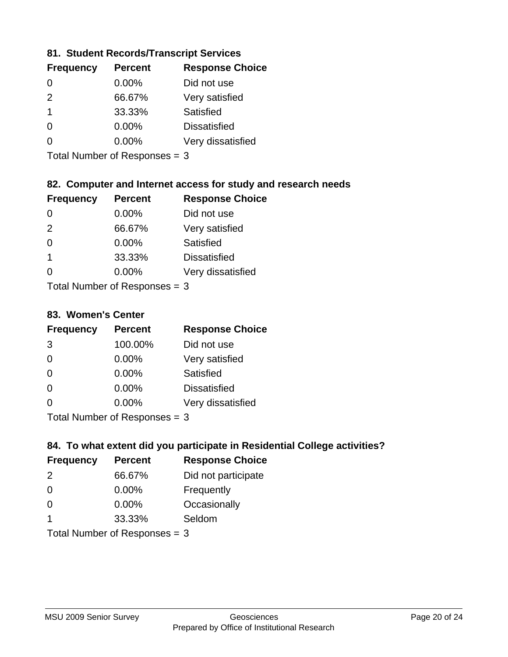#### **81. Student Records/Transcript Services**

| <b>Percent</b> | <b>Response Choice</b> |
|----------------|------------------------|
| $0.00\%$       | Did not use            |
| 66.67%         | Very satisfied         |
| 33.33%         | Satisfied              |
| 0.00%          | <b>Dissatisfied</b>    |
| $0.00\%$       | Very dissatisfied      |
|                |                        |

Total Number of Responses = 3

### **82. Computer and Internet access for study and research needs**

| <b>Frequency</b>          | <b>Percent</b> | <b>Response Choice</b> |
|---------------------------|----------------|------------------------|
| 0                         | 0.00%          | Did not use            |
| 2                         | 66.67%         | Very satisfied         |
| $\Omega$                  | 0.00%          | Satisfied              |
| $\mathbf 1$               | 33.33%         | <b>Dissatisfied</b>    |
| 0                         | 0.00%          | Very dissatisfied      |
| Total Number of Deepersee |                |                        |

Total Number of Responses = 3

#### **83. Women's Center**

| <b>Frequency</b>          | <b>Percent</b> | <b>Response Choice</b> |
|---------------------------|----------------|------------------------|
| 3                         | 100.00%        | Did not use            |
| $\Omega$                  | $0.00\%$       | Very satisfied         |
| $\Omega$                  | $0.00\%$       | Satisfied              |
| $\Omega$                  | $0.00\%$       | <b>Dissatisfied</b>    |
| $\Omega$                  | 0.00%          | Very dissatisfied      |
| Total Number of Desponses |                |                        |

Total Number of Responses = 3

#### **84. To what extent did you participate in Residential College activities?**

| <b>Frequency</b>     | <b>Percent</b>                 | <b>Response Choice</b> |
|----------------------|--------------------------------|------------------------|
| 2                    | 66.67%                         | Did not participate    |
| $\Omega$             | 0.00%                          | Frequently             |
| $\Omega$             | $0.00\%$                       | Occasionally           |
| $\blacktriangleleft$ | 33.33%                         | Seldom                 |
|                      | $Total Number of Dononone = 2$ |                        |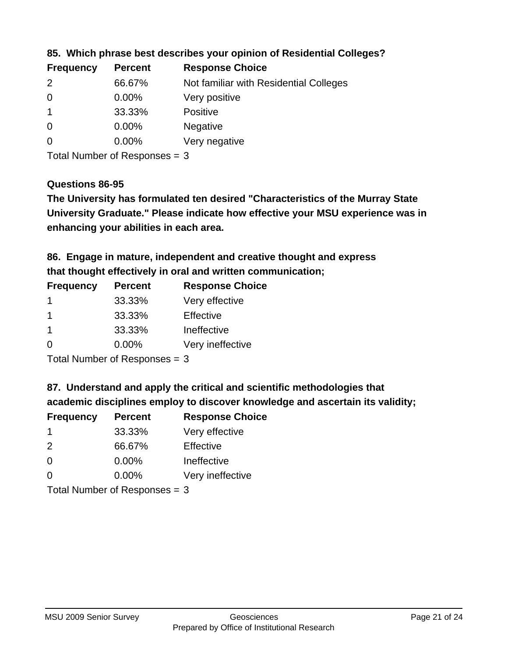| <b>Frequency</b> | <b>Percent</b> | <b>Response Choice</b>                 |
|------------------|----------------|----------------------------------------|
| $\mathcal{P}$    | 66.67%         | Not familiar with Residential Colleges |
| $\overline{0}$   | $0.00\%$       | Very positive                          |
|                  | 33.33%         | <b>Positive</b>                        |
| $\overline{0}$   | $0.00\%$       | <b>Negative</b>                        |
| -0               | $0.00\%$       | Very negative                          |
|                  |                |                                        |

**85. Which phrase best describes your opinion of Residential Colleges?**

Total Number of Responses = 3

#### **Questions 86-95**

**University Graduate." Please indicate how effective your MSU experience was in The University has formulated ten desired "Characteristics of the Murray State enhancing your abilities in each area.**

**86. Engage in mature, independent and creative thought and express that thought effectively in oral and written communication;**

| <b>Frequency</b> | <b>Percent</b> | <b>Response Choice</b> |
|------------------|----------------|------------------------|
|                  | 33.33%         | Very effective         |
|                  | 33.33%         | Effective              |
|                  | 33.33%         | Ineffective            |
| $\Omega$         | 0.00%          | Very ineffective       |

Total Number of Responses = 3

**87. Understand and apply the critical and scientific methodologies that** 

**academic disciplines employ to discover knowledge and ascertain its validity;**

| <b>Frequency</b> | <b>Percent</b> | <b>Response Choice</b> |
|------------------|----------------|------------------------|
| -1               | 33.33%         | Very effective         |
| $\mathcal{P}$    | 66.67%         | Effective              |
| $\Omega$         | 0.00%          | Ineffective            |
| $\Omega$         | 0.00%          | Very ineffective       |
|                  |                |                        |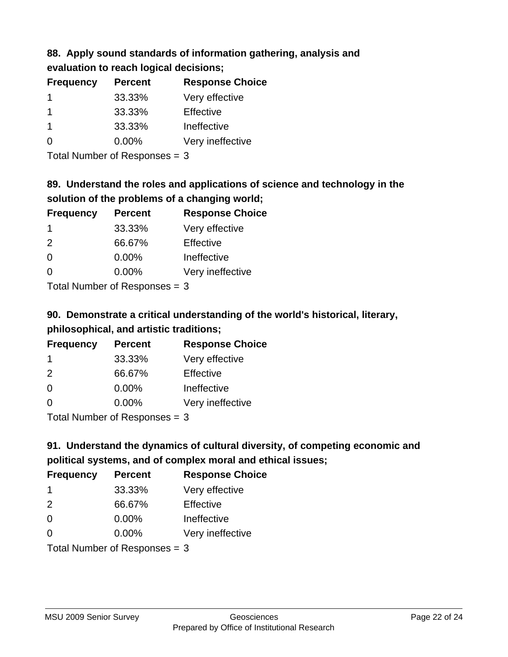# **88. Apply sound standards of information gathering, analysis and evaluation to reach logical decisions;**

| <b>Frequency</b> | <b>Percent</b> | <b>Response Choice</b> |
|------------------|----------------|------------------------|
|                  | 33.33%         | Very effective         |
|                  | 33.33%         | Effective              |
|                  | 33.33%         | Ineffective            |
| O                | $0.00\%$       | Very ineffective       |

Total Number of Responses = 3

# **89. Understand the roles and applications of science and technology in the solution of the problems of a changing world;**

| <b>Frequency</b> | <b>Percent</b>                           | <b>Response Choice</b> |
|------------------|------------------------------------------|------------------------|
| -1               | 33.33%                                   | Very effective         |
| 2                | 66.67%                                   | Effective              |
| $\Omega$         | 0.00%                                    | Ineffective            |
| $\Omega$         | 0.00%                                    | Very ineffective       |
|                  | $\mathbf{r}$ . The state of $\mathbf{r}$ |                        |

Total Number of Responses = 3

# **90. Demonstrate a critical understanding of the world's historical, literary, philosophical, and artistic traditions;**

| <b>Frequency</b> | <b>Percent</b> | <b>Response Choice</b> |
|------------------|----------------|------------------------|
| -1               | 33.33%         | Very effective         |
| $\mathcal{P}$    | 66.67%         | Effective              |
| $\Omega$         | 0.00%          | Ineffective            |
| $\Omega$         | 0.00%          | Very ineffective       |
|                  |                |                        |

Total Number of Responses = 3

# **91. Understand the dynamics of cultural diversity, of competing economic and political systems, and of complex moral and ethical issues;**

| <b>Frequency</b>              | <b>Percent</b> | <b>Response Choice</b> |
|-------------------------------|----------------|------------------------|
| -1                            | 33.33%         | Very effective         |
| 2                             | 66.67%         | Effective              |
| 0                             | 0.00%          | Ineffective            |
| $\Omega$                      | $0.00\%$       | Very ineffective       |
| Total Number of Responses = 3 |                |                        |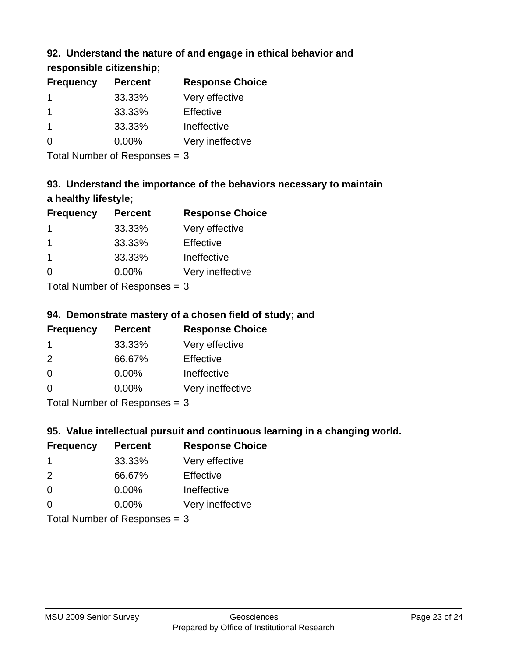### **92. Understand the nature of and engage in ethical behavior and**

**responsible citizenship;**

| <b>Percent</b> | <b>Response Choice</b> |
|----------------|------------------------|
| 33.33%         | Very effective         |
| 33.33%         | Effective              |
| 33.33%         | Ineffective            |
| $0.00\%$       | Very ineffective       |
|                |                        |

Total Number of Responses = 3

# **93. Understand the importance of the behaviors necessary to maintain a healthy lifestyle;**

| <b>Frequency</b>          | <b>Percent</b> | <b>Response Choice</b> |
|---------------------------|----------------|------------------------|
|                           | 33.33%         | Very effective         |
| -1                        | 33.33%         | Effective              |
| -1                        | 33.33%         | Ineffective            |
| $\Omega$                  | $0.00\%$       | Very ineffective       |
| Total Number of Deepersee |                |                        |

Total Number of Responses = 3

### **94. Demonstrate mastery of a chosen field of study; and**

| <b>Frequency</b> | <b>Percent</b> | <b>Response Choice</b> |
|------------------|----------------|------------------------|
|                  | 33.33%         | Very effective         |
| $\mathcal{P}$    | 66.67%         | Effective              |
| $\Omega$         | $0.00\%$       | Ineffective            |
| $\Omega$         | $0.00\%$       | Very ineffective       |
|                  |                |                        |

Total Number of Responses = 3

### **95. Value intellectual pursuit and continuous learning in a changing world.**

| <b>Frequency</b>                                                                                                                                                                                                                        | <b>Percent</b> | <b>Response Choice</b> |
|-----------------------------------------------------------------------------------------------------------------------------------------------------------------------------------------------------------------------------------------|----------------|------------------------|
| -1                                                                                                                                                                                                                                      | 33.33%         | Very effective         |
| $\mathcal{P}$                                                                                                                                                                                                                           | 66.67%         | Effective              |
| $\Omega$                                                                                                                                                                                                                                | 0.00%          | Ineffective            |
| ∩                                                                                                                                                                                                                                       | 0.00%          | Very ineffective       |
| $T_{\rm eff}$ . The Left and Left $R_{\rm eff}$ is a second second second second second second second second second second second second second second second second second second second second second second second second second sec |                |                        |